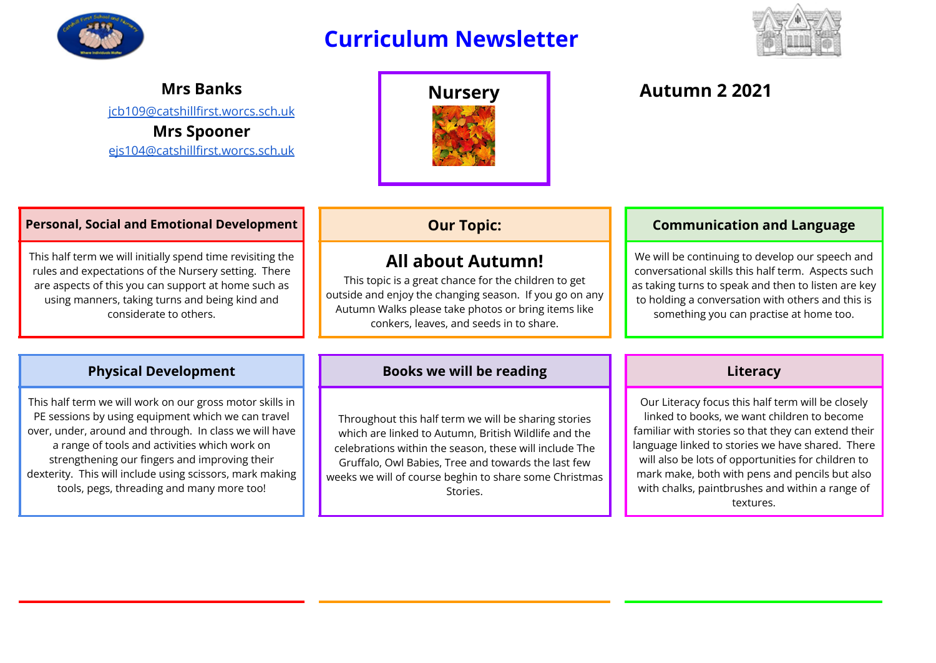

# **Curriculum Newsletter**



**Mrs Banks** [jcb109@catshillfirst.worcs.sch.uk](mailto:jcb109@catshillfirst.worcs.sch.uk) **Mrs Spooner**

[ejs104@catshillfirst.worcs.sch.uk](mailto:ejs104@catshillfirst.worcs.sch.uk)



## **Nursery Autumn 2 2021**

### **Personal, Social and Emotional Development Queener and Conventions Communication and Language**

This half term we will initially spend time revisiting the rules and expectations of the Nursery setting. There are aspects of this you can support at home such as using manners, taking turns and being kind and considerate to others.

## **All about Autumn!**

This topic is a great chance for the children to get outside and enjoy the changing season. If you go on any Autumn Walks please take photos or bring items like conkers, leaves, and seeds in to share.

We will be continuing to develop our speech and conversational skills this half term. Aspects such as taking turns to speak and then to listen are key to holding a conversation with others and this is something you can practise at home too.

This half term we will work on our gross motor skills in PE sessions by using equipment which we can travel over, under, around and through. In class we will have a range of tools and activities which work on strengthening our fingers and improving their dexterity. This will include using scissors, mark making tools, pegs, threading and many more too!

### **Physical Development Books we will be reading Literacy**

Throughout this half term we will be sharing stories which are linked to Autumn, British Wildlife and the celebrations within the season, these will include The Gruffalo, Owl Babies, Tree and towards the last few weeks we will of course beghin to share some Christmas **Stories** 

Our Literacy focus this half term will be closely linked to books, we want children to become familiar with stories so that they can extend their language linked to stories we have shared. There will also be lots of opportunities for children to mark make, both with pens and pencils but also with chalks, paintbrushes and within a range of textures.